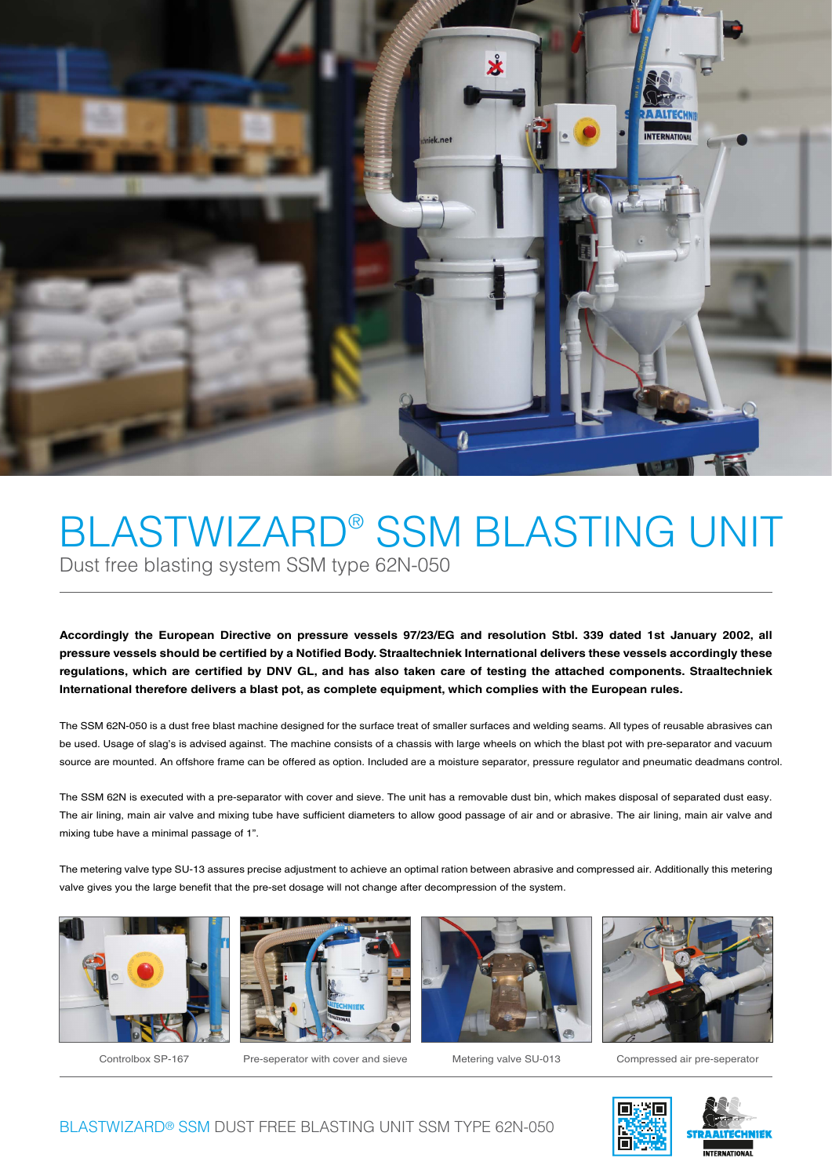

## BLASTWIZARD® SSM BLASTING UNIT Dust free blasting system SSM type 62N-050

**Accordingly the European Directive on pressure vessels 97/23/EG and resolution Stbl. 339 dated 1st January 2002, all**  pressure vessels should be certified by a Notified Body. Straaltechniek International delivers these vessels accordingly these regulations, which are certified by DNV GL, and has also taken care of testing the attached components. Straaltechniek **International therefore delivers a blast pot, as complete equipment, which complies with the European rules.**

The SSM 62N-050 is a dust free blast machine designed for the surface treat of smaller surfaces and welding seams. All types of reusable abrasives can be used. Usage of slag's is advised against. The machine consists of a chassis with large wheels on which the blast pot with pre-separator and vacuum source are mounted. An offshore frame can be offered as option. Included are a moisture separator, pressure regulator and pneumatic deadmans control.

The SSM 62N is executed with a pre-separator with cover and sieve. The unit has a removable dust bin, which makes disposal of separated dust easy. The air lining, main air valve and mixing tube have sufficient diameters to allow good passage of air and or abrasive. The air lining, main air valve and mixing tube have a minimal passage of 1".

The metering valve type SU-13 assures precise adjustment to achieve an optimal ration between abrasive and compressed air. Additionally this metering valve gives you the large benefit that the pre-set dosage will not change after decompression of the system.









Controlbox SP-167 Pre-seperator with cover and sieve Metering valve SU-013 Compressed air pre-seperator